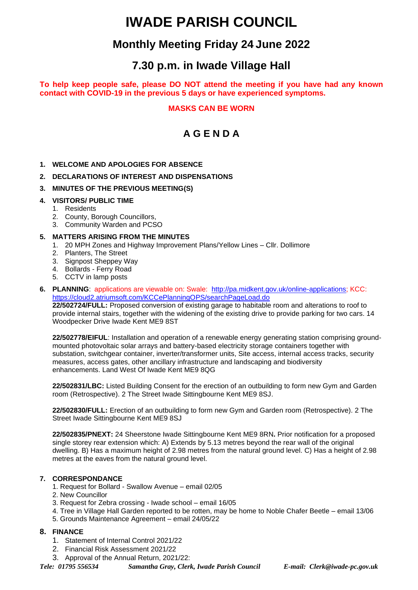# **IWADE PARISH COUNCIL**

# **Monthly Meeting Friday 24 June 2022**

# **7.30 p.m. in Iwade Village Hall**

**To help keep people safe, please DO NOT attend the meeting if you have had any known contact with COVID-19 in the previous 5 days or have experienced symptoms.**

# **MASKS CAN BE WORN**

# **A G E N D A**

**1. WELCOME AND APOLOGIES FOR ABSENCE**

# **2. DECLARATIONS OF INTEREST AND DISPENSATIONS**

# **3. MINUTES OF THE PREVIOUS MEETING(S)**

- **4. VISITORS/ PUBLIC TIME**
	- 1. Residents
	- 2. County, Borough Councillors,
	- 3. Community Warden and PCSO

### **5. MATTERS ARISING FROM THE MINUTES**

- 1. 20 MPH Zones and Highway Improvement Plans/Yellow Lines Cllr. Dollimore
- 2. Planters, The Street
- 3. Signpost Sheppey Way
- 4. Bollards Ferry Road
- 5. CCTV in lamp posts
- **6. PLANNING**: applications are viewable on: Swale: [http://pa.midkent.gov.uk/online-applications;](http://pa.midkent.gov.uk/online-applications) KCC: <https://cloud2.atriumsoft.com/KCCePlanningOPS/searchPageLoad.do> **22/502724/FULL:** Proposed conversion of existing garage to habitable room and alterations to roof to

provide internal stairs, together with the widening of the existing drive to provide parking for two cars. 14 Woodpecker Drive Iwade Kent ME9 8ST

**22/502778/EIFUL**: Installation and operation of a renewable energy generating station comprising groundmounted photovoltaic solar arrays and battery-based electricity storage containers together with substation, switchgear container, inverter/transformer units, Site access, internal access tracks, security measures, access gates, other ancillary infrastructure and landscaping and biodiversity enhancements. Land West Of Iwade Kent ME9 8QG

**22/502831/LBC:** Listed Building Consent for the erection of an outbuilding to form new Gym and Garden room (Retrospective). 2 The Street Iwade Sittingbourne Kent ME9 8SJ.

**22/502830/FULL:** Erection of an outbuilding to form new Gym and Garden room (Retrospective). 2 The Street Iwade Sittingbourne Kent ME9 8SJ

**22/502835/PNEXT:** 24 Sheerstone Iwade Sittingbourne Kent ME9 8RN**.** Prior notification for a proposed single storey rear extension which: A) Extends by 5.13 metres beyond the rear wall of the original dwelling. B) Has a maximum height of 2.98 metres from the natural ground level. C) Has a height of 2.98 metres at the eaves from the natural ground level.

# **7. CORRESPONDANCE**

- 1. Request for Bollard Swallow Avenue email 02/05
- 2. New Councillor
- 3. Request for Zebra crossing Iwade school email 16/05
- 4. Tree in Village Hall Garden reported to be rotten, may be home to Noble Chafer Beetle email 13/06
- 5. Grounds Maintenance Agreement email 24/05/22

#### **8. FINANCE**

- 1. Statement of Internal Control 2021/22
- 2. Financial Risk Assessment 2021/22
- 3. Approval of the Annual Return, 2021/22:

*Tele: 01795 556534 Samantha Gray, Clerk, Iwade Parish Council E-mail: Clerk@iwade-pc.gov.uk*